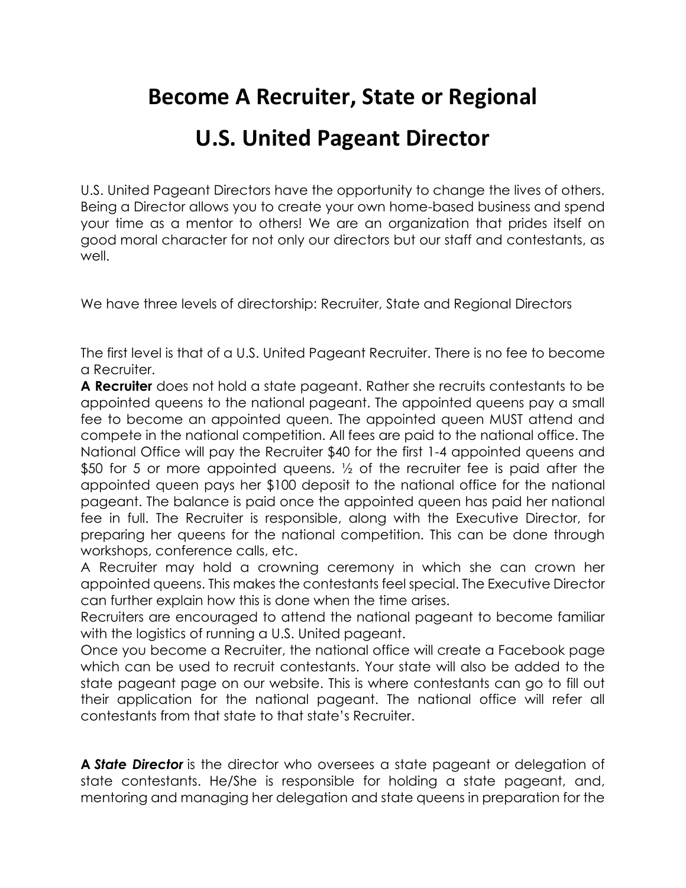# **Become A Recruiter, State or Regional**

## **U.S. United Pageant Director**

U.S. United Pageant Directors have the opportunity to change the lives of others. Being a Director allows you to create your own home-based business and spend your time as a mentor to others! We are an organization that prides itself on good moral character for not only our directors but our staff and contestants, as well.

We have three levels of directorship: Recruiter, State and Regional Directors

The first level is that of a U.S. United Pageant Recruiter. There is no fee to become a Recruiter.

**A Recruiter** does not hold a state pageant. Rather she recruits contestants to be appointed queens to the national pageant. The appointed queens pay a small fee to become an appointed queen. The appointed queen MUST attend and compete in the national competition. All fees are paid to the national office. The National Office will pay the Recruiter \$40 for the first 1-4 appointed queens and \$50 for 5 or more appointed queens. <sup>1/2</sup> of the recruiter fee is paid after the appointed queen pays her \$100 deposit to the national office for the national pageant. The balance is paid once the appointed queen has paid her national fee in full. The Recruiter is responsible, along with the Executive Director, for preparing her queens for the national competition. This can be done through workshops, conference calls, etc.

A Recruiter may hold a crowning ceremony in which she can crown her appointed queens. This makes the contestants feel special. The Executive Director can further explain how this is done when the time arises.

Recruiters are encouraged to attend the national pageant to become familiar with the logistics of running a U.S. United pageant.

Once you become a Recruiter, the national office will create a Facebook page which can be used to recruit contestants. Your state will also be added to the state pageant page on our website. This is where contestants can go to fill out their application for the national pageant. The national office will refer all contestants from that state to that state's Recruiter.

**A** *State Director* is the director who oversees a state pageant or delegation of state contestants. He/She is responsible for holding a state pageant, and, mentoring and managing her delegation and state queens in preparation for the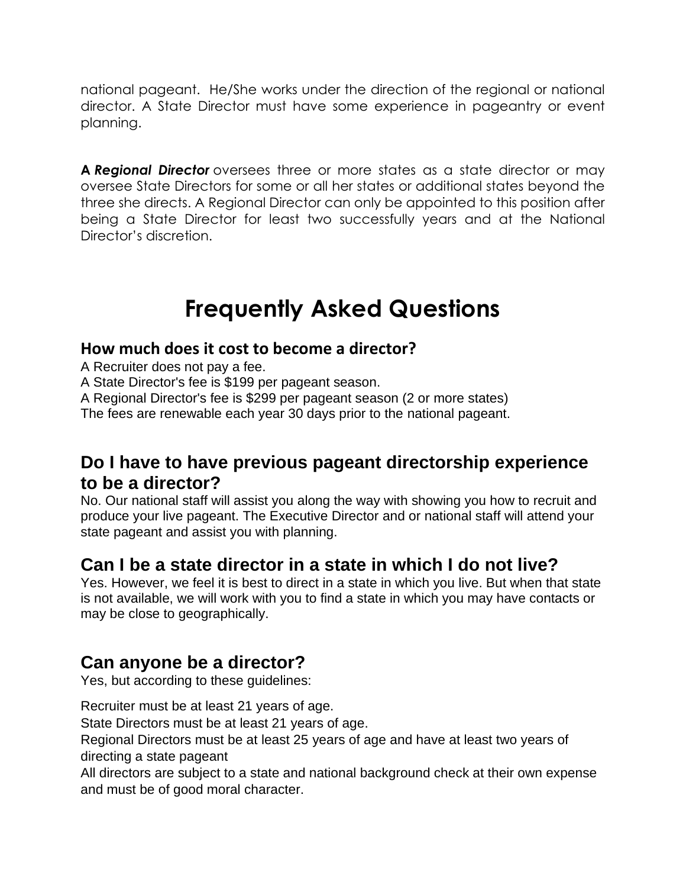national pageant. He/She works under the direction of the regional or national director. A State Director must have some experience in pageantry or event planning.

**A** *Regional Director* oversees three or more states as a state director or may oversee State Directors for some or all her states or additional states beyond the three she directs. A Regional Director can only be appointed to this position after being a State Director for least two successfully years and at the National Director's discretion.

# **Frequently Asked Questions**

#### **How much does it cost to become a director?**

A Recruiter does not pay a fee.

A State Director's fee is \$199 per pageant season.

A Regional Director's fee is \$299 per pageant season (2 or more states)

The fees are renewable each year 30 days prior to the national pageant.

### **Do I have to have previous pageant directorship experience to be a director?**

No. Our national staff will assist you along the way with showing you how to recruit and produce your live pageant. The Executive Director and or national staff will attend your state pageant and assist you with planning.

### **Can I be a state director in a state in which I do not live?**

Yes. However, we feel it is best to direct in a state in which you live. But when that state is not available, we will work with you to find a state in which you may have contacts or may be close to geographically.

### **Can anyone be a director?**

Yes, but according to these guidelines:

Recruiter must be at least 21 years of age.

State Directors must be at least 21 years of age.

Regional Directors must be at least 25 years of age and have at least two years of directing a state pageant

All directors are subject to a state and national background check at their own expense and must be of good moral character.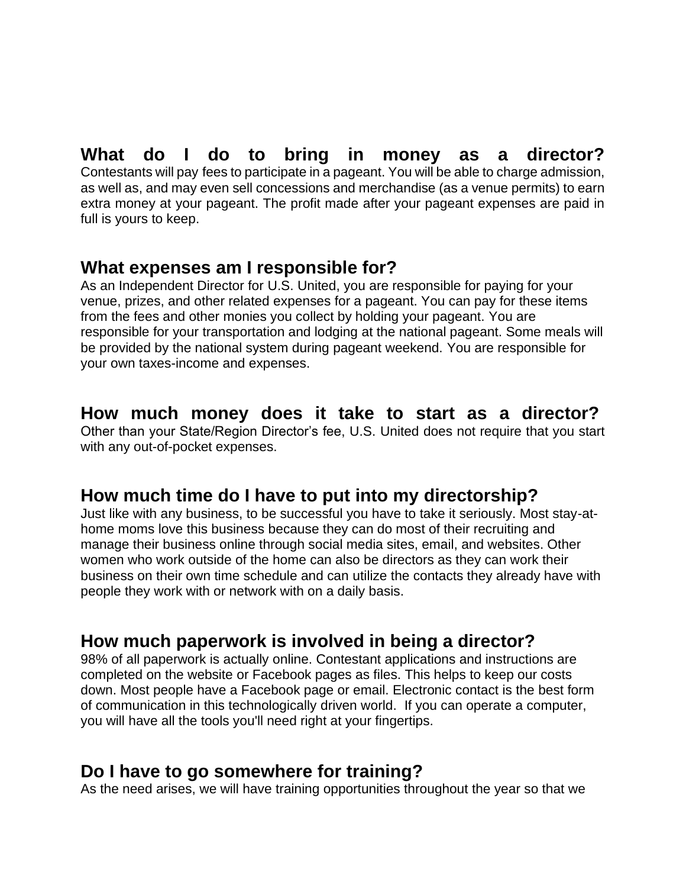#### **What do I do to bring in money as a director?** Contestants will pay fees to participate in a pageant. You will be able to charge admission, as well as, and may even sell concessions and merchandise (as a venue permits) to earn extra money at your pageant. The profit made after your pageant expenses are paid in full is yours to keep.

### **What expenses am I responsible for?**

As an Independent Director for U.S. United, you are responsible for paying for your venue, prizes, and other related expenses for a pageant. You can pay for these items from the fees and other monies you collect by holding your pageant. You are responsible for your transportation and lodging at the national pageant. Some meals will be provided by the national system during pageant weekend. You are responsible for your own taxes-income and expenses.

### **How much money does it take to start as a director?**

Other than your State/Region Director's fee, U.S. United does not require that you start with any out-of-pocket expenses.

### **How much time do I have to put into my directorship?**

Just like with any business, to be successful you have to take it seriously. Most stay-athome moms love this business because they can do most of their recruiting and manage their business online through social media sites, email, and websites. Other women who work outside of the home can also be directors as they can work their business on their own time schedule and can utilize the contacts they already have with people they work with or network with on a daily basis.

### **How much paperwork is involved in being a director?**

98% of all paperwork is actually online. Contestant applications and instructions are completed on the website or Facebook pages as files. This helps to keep our costs down. Most people have a Facebook page or email. Electronic contact is the best form of communication in this technologically driven world. If you can operate a computer, you will have all the tools you'll need right at your fingertips.

### **Do I have to go somewhere for training?**

As the need arises, we will have training opportunities throughout the year so that we